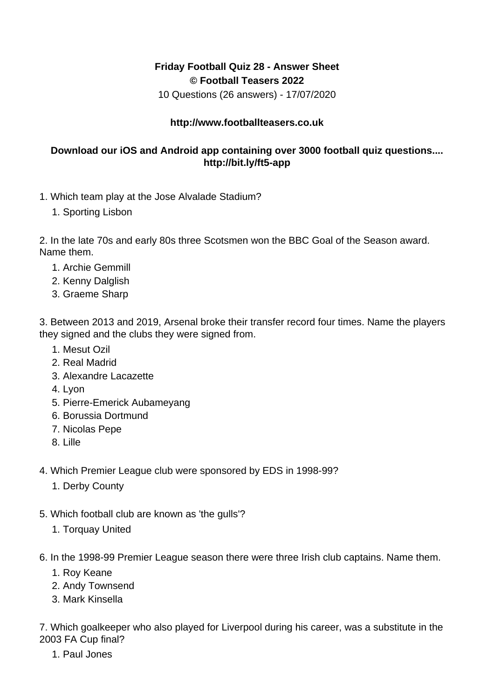## **Friday Football Quiz 28 - Answer Sheet © Football Teasers 2022**

10 Questions (26 answers) - 17/07/2020

## **http://www.footballteasers.co.uk**

## **Download our iOS and Android app containing over 3000 football quiz questions.... http://bit.ly/ft5-app**

- 1. Which team play at the Jose Alvalade Stadium?
	- 1. Sporting Lisbon

2. In the late 70s and early 80s three Scotsmen won the BBC Goal of the Season award. Name them.

- 1. Archie Gemmill
- 2. Kenny Dalglish
- 3. Graeme Sharp

3. Between 2013 and 2019, Arsenal broke their transfer record four times. Name the players they signed and the clubs they were signed from.

- 1. Mesut Ozil
- 2. Real Madrid
- 3. Alexandre Lacazette
- 4. Lyon
- 5. Pierre-Emerick Aubameyang
- 6. Borussia Dortmund
- 7. Nicolas Pepe
- 8. Lille
- 4. Which Premier League club were sponsored by EDS in 1998-99?
	- 1. Derby County
- 5. Which football club are known as 'the gulls'?
	- 1. Torquay United
- 6. In the 1998-99 Premier League season there were three Irish club captains. Name them.
	- 1. Roy Keane
	- 2. Andy Townsend
	- 3. Mark Kinsella

7. Which goalkeeper who also played for Liverpool during his career, was a substitute in the 2003 FA Cup final?

1. Paul Jones